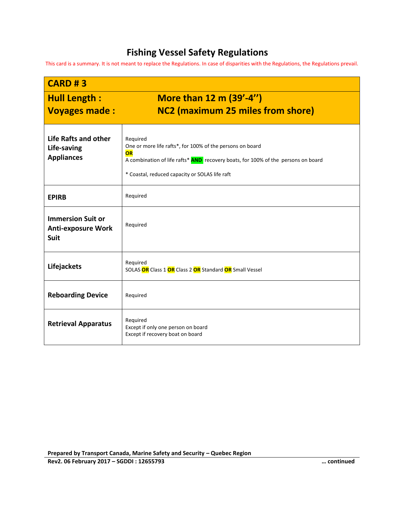## **Fishing Vessel Safety Regulations**

This card is a summary. It is not meant to replace the Regulations. In case of disparities with the Regulations, the Regulations prevail.

| <b>CARD #3</b>                                                       |                                                                                                                                                                                                                    |
|----------------------------------------------------------------------|--------------------------------------------------------------------------------------------------------------------------------------------------------------------------------------------------------------------|
| <b>Hull Length:</b><br><b>Voyages made:</b>                          | More than 12 m (39'-4")<br>NC2 (maximum 25 miles from shore)                                                                                                                                                       |
| Life Rafts and other<br>Life-saving<br><b>Appliances</b>             | Required<br>One or more life rafts*, for 100% of the persons on board<br>OR<br>A combination of life rafts* AND recovery boats, for 100% of the persons on board<br>* Coastal, reduced capacity or SOLAS life raft |
| <b>EPIRB</b>                                                         | Required                                                                                                                                                                                                           |
| <b>Immersion Suit or</b><br><b>Anti-exposure Work</b><br><b>Suit</b> | Required                                                                                                                                                                                                           |
| Lifejackets                                                          | Required<br>SOLAS OR Class 1 OR Class 2 OR Standard OR Small Vessel                                                                                                                                                |
| <b>Reboarding Device</b>                                             | Required                                                                                                                                                                                                           |
| <b>Retrieval Apparatus</b>                                           | Required<br>Except if only one person on board<br>Except if recovery boat on board                                                                                                                                 |